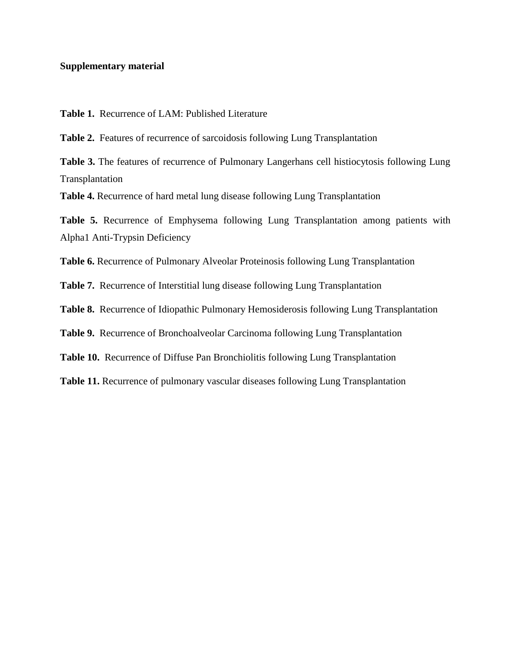## **Supplementary material**

**Table 1.** Recurrence of LAM: Published Literature

**Table 2.** Features of recurrence of sarcoidosis following Lung Transplantation

**Table 3.** The features of recurrence of Pulmonary Langerhans cell histiocytosis following Lung Transplantation

**Table 4.** Recurrence of hard metal lung disease following Lung Transplantation

**Table 5.** Recurrence of Emphysema following Lung Transplantation among patients with Alpha1 Anti-Trypsin Deficiency

**Table 6.** Recurrence of Pulmonary Alveolar Proteinosis following Lung Transplantation

**Table 7.** Recurrence of Interstitial lung disease following Lung Transplantation

**Table 8.** Recurrence of Idiopathic Pulmonary Hemosiderosis following Lung Transplantation

**Table 9.** Recurrence of Bronchoalveolar Carcinoma following Lung Transplantation

**Table 10.** Recurrence of Diffuse Pan Bronchiolitis following Lung Transplantation

**Table 11.** Recurrence of pulmonary vascular diseases following Lung Transplantation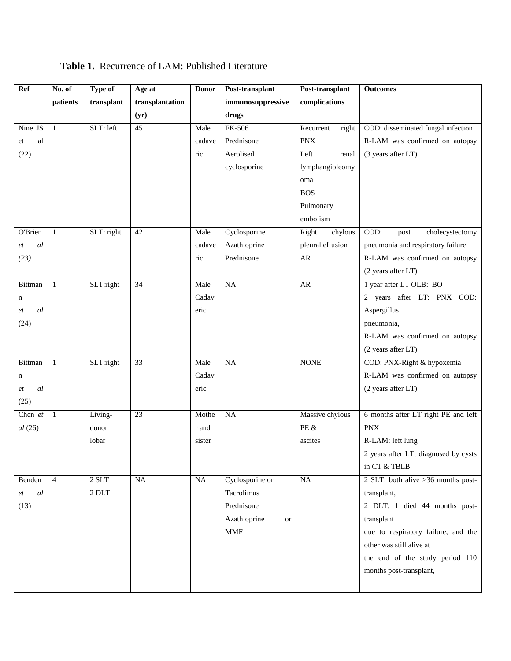| Ref                 | No. of         | <b>Type of</b> | Age at          | <b>Donor</b> | Post-transplant    | Post-transplant    | <b>Outcomes</b>                      |
|---------------------|----------------|----------------|-----------------|--------------|--------------------|--------------------|--------------------------------------|
|                     | patients       | transplant     | transplantation |              | immunosuppressive  | complications      |                                      |
|                     |                |                | (yr)            |              | drugs              |                    |                                      |
| Nine JS             | $\mathbf{1}$   | SLT: left      | 45              | Male         | FK-506             | Recurrent<br>right | COD: disseminated fungal infection   |
| al<br>et            |                |                |                 | cadave       | Prednisone         | <b>PNX</b>         | R-LAM was confirmed on autopsy       |
| (22)                |                |                |                 | ric          | Aerolised          | Left<br>renal      | (3 years after LT)                   |
|                     |                |                |                 |              | cyclosporine       | lymphangioleomy    |                                      |
|                     |                |                |                 |              |                    | oma                |                                      |
|                     |                |                |                 |              |                    | <b>BOS</b>         |                                      |
|                     |                |                |                 |              |                    | Pulmonary          |                                      |
|                     |                |                |                 |              |                    | embolism           |                                      |
| O'Brien             | 1              | SLT: right     | 42              | Male         | Cyclosporine       | Right<br>chylous   | COD:<br>cholecystectomy<br>post      |
| al<br>et            |                |                |                 | cadave       | Azathioprine       | pleural effusion   | pneumonia and respiratory failure    |
| (23)                |                |                |                 | ric          | Prednisone         | AR                 | R-LAM was confirmed on autopsy       |
|                     |                |                |                 |              |                    |                    | (2 years after LT)                   |
| Bittman             | $\mathbf{1}$   | SLT:right      | $\overline{34}$ | Male         | $\overline{NA}$    | AR                 | 1 year after LT OLB: BO              |
| n                   |                |                |                 | Cadav        |                    |                    | 2 years after LT: PNX COD:           |
| al<br>et            |                |                |                 | eric         |                    |                    | Aspergillus                          |
| (24)                |                |                |                 |              |                    |                    | pneumonia,                           |
|                     |                |                |                 |              |                    |                    | R-LAM was confirmed on autopsy       |
|                     |                |                |                 |              |                    |                    | (2 years after LT)                   |
| Bittman             | $\mathbf{1}$   | SLT:right      | 33              | Male         | NA                 | <b>NONE</b>        | COD: PNX-Right & hypoxemia           |
| n                   |                |                |                 | Cadav        |                    |                    | R-LAM was confirmed on autopsy       |
| al<br>et            |                |                |                 | eric         |                    |                    | (2 years after LT)                   |
| (25)                |                |                |                 |              |                    |                    |                                      |
| Chen et             | $\mathbf{1}$   | Living-        | $\overline{23}$ | Mothe        | <b>NA</b>          | Massive chylous    | 6 months after LT right PE and left  |
| $al\left(26\right)$ |                | donor          |                 | r and        |                    | PE &               | <b>PNX</b>                           |
|                     |                | lobar          |                 | sister       |                    | ascites            | R-LAM: left lung                     |
|                     |                |                |                 |              |                    |                    | 2 years after LT; diagnosed by cysts |
|                     |                |                |                 |              |                    |                    | in CT & TBLB                         |
| Benden              | $\overline{4}$ | $2$ SLT $\,$   | NA              | NA           | Cyclosporine or    | NA                 | 2 SLT: both alive >36 months post-   |
| al<br>et            |                | $2$ DLT $\,$   |                 |              | Tacrolimus         |                    | transplant,                          |
| (13)                |                |                |                 |              | Prednisone         |                    | 2 DLT: 1 died 44 months post-        |
|                     |                |                |                 |              | Azathioprine<br>or |                    | transplant                           |
|                     |                |                |                 |              | <b>MMF</b>         |                    | due to respiratory failure, and the  |
|                     |                |                |                 |              |                    |                    | other was still alive at             |
|                     |                |                |                 |              |                    |                    | the end of the study period 110      |
|                     |                |                |                 |              |                    |                    | months post-transplant,              |
|                     |                |                |                 |              |                    |                    |                                      |
|                     |                |                |                 |              |                    |                    |                                      |

**Table 1.** Recurrence of LAM: Published Literature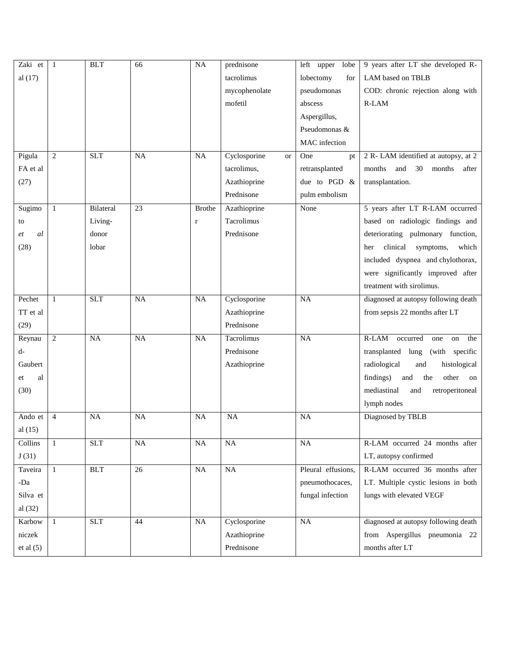| Zaki et   | $\mathbf{1}$   | <b>BLT</b> | 66              | NA            | prednisone                | left upper<br>lobe | 9 years after LT she developed R-       |
|-----------|----------------|------------|-----------------|---------------|---------------------------|--------------------|-----------------------------------------|
| al $(17)$ |                |            |                 |               | tacrolimus                | lobectomy<br>for   | LAM based on TBLB                       |
|           |                |            |                 |               | mycophenolate             | pseudomonas        | COD: chronic rejection along with       |
|           |                |            |                 |               | mofetil                   | abscess            | R-LAM                                   |
|           |                |            |                 |               |                           | Aspergillus,       |                                         |
|           |                |            |                 |               |                           | Pseudomonas &      |                                         |
|           |                |            |                 |               |                           | MAC infection      |                                         |
| Pigula    | 2              | SLT        | <b>NA</b>       | <b>NA</b>     | Cyclosporine<br><b>or</b> | One<br>pt          | 2 R-LAM identified at autopsy, at 2     |
| FA et al  |                |            |                 |               | tacrolimus,               | retransplanted     | and<br>30<br>months<br>months<br>after  |
| (27)      |                |            |                 |               | Azathioprine              | due to PGD &       | transplantation.                        |
|           |                |            |                 |               | Prednisone                | pulm embolism      |                                         |
| Sugimo    | $\mathbf{1}$   | Bilateral  | $\overline{23}$ | <b>Brothe</b> | Azathioprine              | None               | 5 years after LT R-LAM occurred         |
| to        |                | Living-    |                 | $\mathbf r$   | Tacrolimus                |                    | based on radiologic findings and        |
| al<br>et  |                | donor      |                 |               | Prednisone                |                    | deteriorating pulmonary function,       |
| (28)      |                | lobar      |                 |               |                           |                    | clinical<br>symptoms,<br>which<br>her   |
|           |                |            |                 |               |                           |                    | included dyspnea and chylothorax,       |
|           |                |            |                 |               |                           |                    | were significantly improved after       |
|           |                |            |                 |               |                           |                    | treatment with sirolimus.               |
| Pechet    | $\mathbf{1}$   | <b>SLT</b> | <b>NA</b>       | NA            | Cyclosporine              | $\overline{NA}$    | diagnosed at autopsy following death    |
| TT et al  |                |            |                 |               | Azathioprine              |                    | from sepsis 22 months after LT          |
| (29)      |                |            |                 |               | Prednisone                |                    |                                         |
| Reynau    | $\mathfrak{2}$ | NA         | <b>NA</b>       | <b>NA</b>     | Tacrolimus                | <b>NA</b>          | $R-LAM$<br>occurred<br>the<br>one<br>on |
| d-        |                |            |                 |               | Prednisone                |                    | transplanted lung<br>(with specific     |
| Gaubert   |                |            |                 |               | Azathioprine              |                    | radiological<br>histological<br>and     |
| al<br>et  |                |            |                 |               |                           |                    | findings)<br>other<br>and<br>the<br>on  |
| (30)      |                |            |                 |               |                           |                    | mediastinal<br>and<br>retroperitoneal   |
|           |                |            |                 |               |                           |                    | lymph nodes                             |
| Ando et   | $\overline{4}$ | NA         | <b>NA</b>       | <b>NA</b>     | NA                        | <b>NA</b>          | Diagnosed by TBLB                       |
| al $(15)$ |                |            |                 |               |                           |                    |                                         |
| Collins   | $\mathbf{1}$   | <b>SLT</b> | $\rm NA$        | $_{\rm NA}$   | $\rm NA$                  | <b>NA</b>          | R-LAM occurred 24 months after          |
| J(31)     |                |            |                 |               |                           |                    | LT, autopsy confirmed                   |
| Taveira   | $\mathbf{1}$   | <b>BLT</b> | 26              | NA            | NA                        | Pleural effusions, | R-LAM occurred 36 months after          |
| -Da       |                |            |                 |               |                           | pneumothocaces,    | LT. Multiple cystic lesions in both     |
| Silva et  |                |            |                 |               |                           | fungal infection   | lungs with elevated VEGF                |
| al $(32)$ |                |            |                 |               |                           |                    |                                         |
| Karbow    | $\mathbf{1}$   | <b>SLT</b> | 44              | NA            | Cyclosporine              | NA                 | diagnosed at autopsy following death    |
| niczek    |                |            |                 |               | Azathioprine              |                    | from Aspergillus pneumonia 22           |
| et al (5) |                |            |                 |               | Prednisone                |                    | months after LT                         |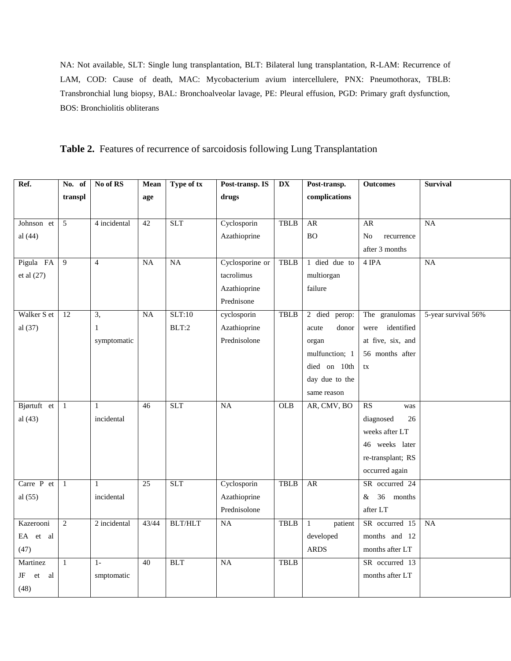NA: Not available, SLT: Single lung transplantation, BLT: Bilateral lung transplantation, R-LAM: Recurrence of LAM, COD: Cause of death, MAC: Mycobacterium avium intercellulere, PNX: Pneumothorax, TBLB: Transbronchial lung biopsy, BAL: Bronchoalveolar lavage, PE: Pleural effusion, PGD: Primary graft dysfunction, BOS: Bronchiolitis obliterans

**Table 2.** Features of recurrence of sarcoidosis following Lung Transplantation

| Ref.                   | No. of          | No of RS       | Mean            | Type of tx     | Post-transp. IS | $\overline{\mathbf{DX}}$ | Post-transp.            | <b>Outcomes</b>   | <b>Survival</b>     |
|------------------------|-----------------|----------------|-----------------|----------------|-----------------|--------------------------|-------------------------|-------------------|---------------------|
|                        | transpl         |                | age             |                | drugs           |                          | complications           |                   |                     |
|                        |                 |                |                 |                |                 |                          |                         |                   |                     |
| Johnson et             | 5               | 4 incidental   | 42              | <b>SLT</b>     | Cyclosporin     | <b>TBLB</b>              | AR                      | AR                | <b>NA</b>           |
| al $(44)$              |                 |                |                 |                | Azathioprine    |                          | <b>BO</b>               | No<br>recurrence  |                     |
|                        |                 |                |                 |                |                 |                          |                         | after 3 months    |                     |
| Pigula FA              | $\overline{9}$  | $\overline{4}$ | NA              | NA             | Cyclosporine or | <b>TBLB</b>              | 1 died due to           | $4$ IPA           | $\overline{NA}$     |
| et al $(27)$           |                 |                |                 |                | tacrolimus      |                          | multiorgan              |                   |                     |
|                        |                 |                |                 |                | Azathioprine    |                          | failure                 |                   |                     |
|                        |                 |                |                 |                | Prednisone      |                          |                         |                   |                     |
| Walker S et            | $\overline{12}$ | $\overline{3}$ | $\overline{NA}$ | SLT:10         | cyclosporin     | <b>TBLB</b>              | 2 died<br>perop:        | The granulomas    | 5-year survival 56% |
| al (37)                |                 | $\mathbf{1}$   |                 | BLT:2          | Azathioprine    |                          | donor<br>acute          | were identified   |                     |
|                        |                 | symptomatic    |                 |                | Prednisolone    |                          | organ                   | at five, six, and |                     |
|                        |                 |                |                 |                |                 |                          | mulfunction; 1          | 56 months after   |                     |
|                        |                 |                |                 |                |                 |                          | died on 10th            | tx                |                     |
|                        |                 |                |                 |                |                 |                          | day due to the          |                   |                     |
|                        |                 |                |                 |                |                 |                          | same reason             |                   |                     |
| Bjørtuft et            | $\mathbf{1}$    | $\mathbf{1}$   | $\overline{46}$ | <b>SLT</b>     | $\overline{NA}$ | OLB                      | AR, CMV, BO             | RS<br>was         |                     |
| al $(43)$              |                 | incidental     |                 |                |                 |                          |                         | diagnosed<br>26   |                     |
|                        |                 |                |                 |                |                 |                          |                         | weeks after LT    |                     |
|                        |                 |                |                 |                |                 |                          |                         | 46 weeks later    |                     |
|                        |                 |                |                 |                |                 |                          |                         | re-transplant; RS |                     |
|                        |                 |                |                 |                |                 |                          |                         | occurred again    |                     |
| Carre P et             | $\mathbf{1}$    | $\mathbf{1}$   | 25              | <b>SLT</b>     | Cyclosporin     | <b>TBLB</b>              | <b>AR</b>               | SR occurred 24    |                     |
| al $(55)$              |                 | incidental     |                 |                | Azathioprine    |                          |                         | 36 months<br>&    |                     |
|                        |                 |                |                 |                | Prednisolone    |                          |                         | after LT          |                     |
| Kazerooni              | $\overline{2}$  | 2 incidental   | 43/44           | <b>BLT/HLT</b> | NA              | <b>TBLB</b>              | patient<br>$\mathbf{1}$ | SR occurred 15    | NA                  |
| EA et al               |                 |                |                 |                |                 |                          | developed               | months and 12     |                     |
| (47)                   |                 |                |                 |                |                 |                          | <b>ARDS</b>             | months after LT   |                     |
| Martinez               | $1\,$           | $1-$           | 40              | <b>BLT</b>     | $\overline{NA}$ | <b>TBLB</b>              |                         | SR occurred 13    |                     |
| JF<br>al<br>${\it et}$ |                 | smptomatic     |                 |                |                 |                          |                         | months after LT   |                     |
| (48)                   |                 |                |                 |                |                 |                          |                         |                   |                     |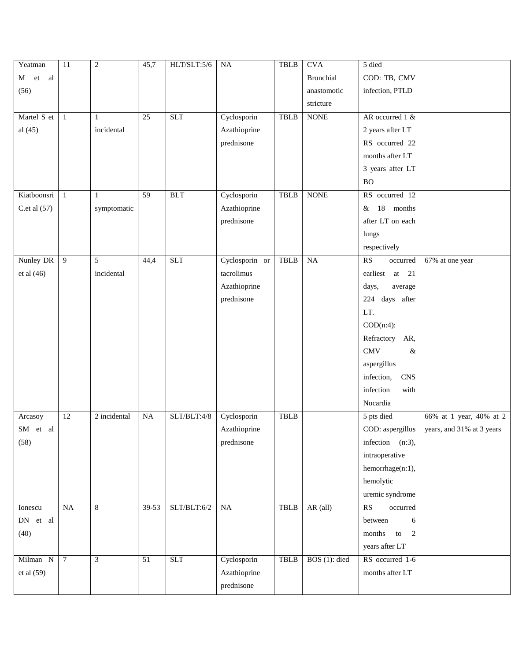| M et al<br><b>Bronchial</b><br>COD: TB, CMV<br>infection, PTLD<br>(56)<br>anastomotic<br>stricture<br><b>SLT</b><br>Cyclosporin<br><b>NONE</b><br>AR occurred 1 &<br>Martel S et<br>$\overline{25}$<br><b>TBLB</b><br>$\mathbf{1}$<br>1<br>al $(45)$<br>incidental<br>2 years after LT<br>Azathioprine<br>RS occurred 22<br>prednisone<br>months after LT<br>3 years after LT |  |
|-------------------------------------------------------------------------------------------------------------------------------------------------------------------------------------------------------------------------------------------------------------------------------------------------------------------------------------------------------------------------------|--|
|                                                                                                                                                                                                                                                                                                                                                                               |  |
|                                                                                                                                                                                                                                                                                                                                                                               |  |
|                                                                                                                                                                                                                                                                                                                                                                               |  |
|                                                                                                                                                                                                                                                                                                                                                                               |  |
|                                                                                                                                                                                                                                                                                                                                                                               |  |
|                                                                                                                                                                                                                                                                                                                                                                               |  |
|                                                                                                                                                                                                                                                                                                                                                                               |  |
|                                                                                                                                                                                                                                                                                                                                                                               |  |
| <b>BO</b>                                                                                                                                                                                                                                                                                                                                                                     |  |
| $\overline{59}$<br><b>NONE</b><br>RS occurred 12<br>Kiatboonsri<br><b>BLT</b><br>Cyclosporin<br><b>TBLB</b><br>$\mathbf{1}$<br>$\mathbf{1}$                                                                                                                                                                                                                                   |  |
| C.et al $(57)$<br>Azathioprine<br>18 months<br>symptomatic<br>&                                                                                                                                                                                                                                                                                                               |  |
| prednisone<br>after LT on each                                                                                                                                                                                                                                                                                                                                                |  |
| lungs                                                                                                                                                                                                                                                                                                                                                                         |  |
| respectively                                                                                                                                                                                                                                                                                                                                                                  |  |
| RS<br>Nunley DR<br><b>SLT</b><br>Cyclosporin or<br>$\overline{9}$<br>5<br><b>TBLB</b><br>NA<br>44,4<br>$67\%$ at one year<br>occurred                                                                                                                                                                                                                                         |  |
| incidental<br>tacrolimus<br>et al $(46)$<br>earliest<br>21<br>at                                                                                                                                                                                                                                                                                                              |  |
| Azathioprine<br>days,<br>average                                                                                                                                                                                                                                                                                                                                              |  |
| prednisone<br>224 days after                                                                                                                                                                                                                                                                                                                                                  |  |
| LT.                                                                                                                                                                                                                                                                                                                                                                           |  |
| $COD(n:4)$ :                                                                                                                                                                                                                                                                                                                                                                  |  |
| Refractory<br>AR,                                                                                                                                                                                                                                                                                                                                                             |  |
| $\rm CMV$<br>&                                                                                                                                                                                                                                                                                                                                                                |  |
| aspergillus                                                                                                                                                                                                                                                                                                                                                                   |  |
| <b>CNS</b><br>infection,                                                                                                                                                                                                                                                                                                                                                      |  |
| infection<br>with                                                                                                                                                                                                                                                                                                                                                             |  |
| Nocardia                                                                                                                                                                                                                                                                                                                                                                      |  |
| $\overline{12}$<br>2 incidental<br>NA<br>SLT/BLT:4/8<br>Cyclosporin<br><b>TBLB</b><br>5 pts died<br>66% at 1 year, 40% at 2<br>Arcasoy                                                                                                                                                                                                                                        |  |
| SM et al<br>Azathioprine<br>COD: aspergillus<br>years, and 31% at 3 years                                                                                                                                                                                                                                                                                                     |  |
| (58)<br>prednisone<br>infection (n:3),                                                                                                                                                                                                                                                                                                                                        |  |
| intraoperative                                                                                                                                                                                                                                                                                                                                                                |  |
| hemorrhage(n:1),                                                                                                                                                                                                                                                                                                                                                              |  |
| hemolytic                                                                                                                                                                                                                                                                                                                                                                     |  |
| uremic syndrome                                                                                                                                                                                                                                                                                                                                                               |  |
| SLT/BLT:6/2<br>8<br><b>TBLB</b><br>$AR$ (all)<br>RS<br>Ionescu<br>NA<br>39-53<br>NA<br>occurred                                                                                                                                                                                                                                                                               |  |
| DN et al<br>between<br>6                                                                                                                                                                                                                                                                                                                                                      |  |
| (40)<br>months<br>to<br>2                                                                                                                                                                                                                                                                                                                                                     |  |
| years after LT                                                                                                                                                                                                                                                                                                                                                                |  |
| <b>SLT</b><br>$\overline{7}$<br>3<br><b>TBLB</b><br>BOS $(1)$ : died<br>RS occurred 1-6<br>Milman N<br>$\overline{51}$<br>Cyclosporin                                                                                                                                                                                                                                         |  |
| et al (59)<br>Azathioprine<br>months after LT                                                                                                                                                                                                                                                                                                                                 |  |
| prednisone                                                                                                                                                                                                                                                                                                                                                                    |  |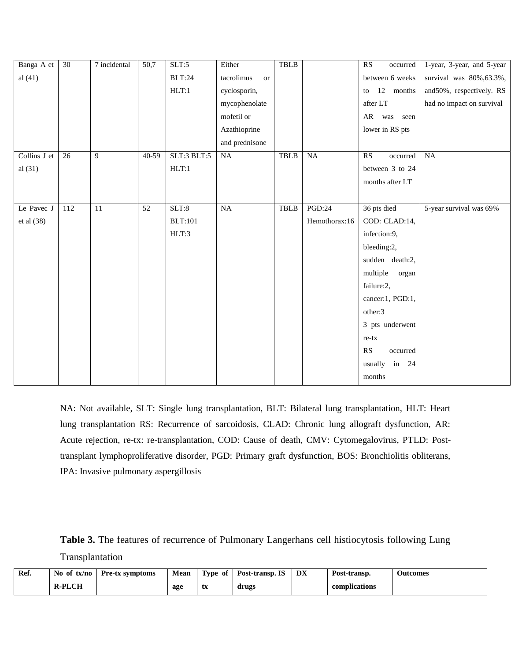| Banga A et   | $\overline{30}$ | 7 incidental | $\overline{50,7}$ | SLT:5          | Either                  | <b>TBLB</b> |               | RS<br>occurred    | 1-year, 3-year, and 5-year |
|--------------|-----------------|--------------|-------------------|----------------|-------------------------|-------------|---------------|-------------------|----------------------------|
| al $(41)$    |                 |              |                   | BLT:24         | tacrolimus<br><b>or</b> |             |               | between 6 weeks   | survival was 80%, 63.3%,   |
|              |                 |              |                   | HLT:1          | cyclosporin,            |             |               | 12 months<br>to   | and 50%, respectively. RS  |
|              |                 |              |                   |                | mycophenolate           |             |               | after LT          | had no impact on survival  |
|              |                 |              |                   |                | mofetil or              |             |               | AR was seen       |                            |
|              |                 |              |                   |                | Azathioprine            |             |               | lower in RS pts   |                            |
|              |                 |              |                   |                | and prednisone          |             |               |                   |                            |
| Collins J et | 26              | 9            | 40-59             | SLT:3 BLT:5    | $_{\rm NA}$             | <b>TBLB</b> | NA            | RS<br>occurred    | NA                         |
| al $(31)$    |                 |              |                   | HLT:1          |                         |             |               | between 3 to 24   |                            |
|              |                 |              |                   |                |                         |             |               | months after LT   |                            |
|              |                 |              |                   |                |                         |             |               |                   |                            |
| Le Pavec J   | 112             | 11           | 52                | SLT:8          | NA                      | <b>TBLB</b> | <b>PGD:24</b> | 36 pts died       | 5-year survival was 69%    |
| et al (38)   |                 |              |                   | <b>BLT:101</b> |                         |             | Hemothorax:16 | COD: CLAD:14,     |                            |
|              |                 |              |                   | HLT:3          |                         |             |               | infection:9,      |                            |
|              |                 |              |                   |                |                         |             |               | bleeding:2,       |                            |
|              |                 |              |                   |                |                         |             |               | sudden death:2,   |                            |
|              |                 |              |                   |                |                         |             |               | multiple<br>organ |                            |
|              |                 |              |                   |                |                         |             |               | failure:2,        |                            |
|              |                 |              |                   |                |                         |             |               | cancer:1, PGD:1,  |                            |
|              |                 |              |                   |                |                         |             |               | other:3           |                            |
|              |                 |              |                   |                |                         |             |               | 3 pts underwent   |                            |
|              |                 |              |                   |                |                         |             |               | re-tx             |                            |
|              |                 |              |                   |                |                         |             |               | RS<br>occurred    |                            |
|              |                 |              |                   |                |                         |             |               | usually in 24     |                            |
|              |                 |              |                   |                |                         |             |               | months            |                            |

NA: Not available, SLT: Single lung transplantation, BLT: Bilateral lung transplantation, HLT: Heart lung transplantation RS: Recurrence of sarcoidosis, CLAD: Chronic lung allograft dysfunction, AR: Acute rejection, re-tx: re-transplantation, COD: Cause of death, CMV: Cytomegalovirus, PTLD: Posttransplant lymphoproliferative disorder, PGD: Primary graft dysfunction, BOS: Bronchiolitis obliterans, IPA: Invasive pulmonary aspergillosis

**Table 3.** The features of recurrence of Pulmonary Langerhans cell histiocytosis following Lung Transplantation

| Ref. | No of tx/no   | <b>Pre-tx symptoms</b> | Mean | Type of   | Post-transp. IS | DX | Post-transp.  | Outcomes |
|------|---------------|------------------------|------|-----------|-----------------|----|---------------|----------|
|      | <b>R-PLCH</b> |                        | age  | ŧν<br>LΔ. | drugs           |    | complications |          |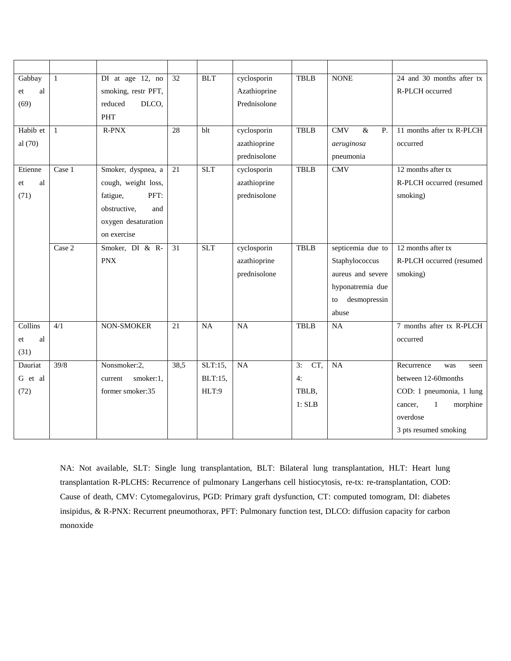| Gabbay   | 1            | DI at age 12, no     | 32              | <b>BLT</b> | cyclosporin     | <b>TBLB</b> | <b>NONE</b>                                | 24 and 30 months after tx           |
|----------|--------------|----------------------|-----------------|------------|-----------------|-------------|--------------------------------------------|-------------------------------------|
| al<br>et |              | smoking, restr PFT,  |                 |            | Azathioprine    |             |                                            | R-PLCH occurred                     |
| (69)     |              | DLCO,<br>reduced     |                 |            | Prednisolone    |             |                                            |                                     |
|          |              | <b>PHT</b>           |                 |            |                 |             |                                            |                                     |
| Habib et | $\mathbf{1}$ | $R-PNX$              | 28              | blt        | cyclosporin     | <b>TBLB</b> | $\overline{\text{CMV}}$<br>$\&$<br>$P_{.}$ | 11 months after tx R-PLCH           |
| al (70)  |              |                      |                 |            | azathioprine    |             | aeruginosa                                 | occurred                            |
|          |              |                      |                 |            | prednisolone    |             | pneumonia                                  |                                     |
| Etienne  | Case 1       | Smoker, dyspnea, a   | 21              | <b>SLT</b> | cyclosporin     | <b>TBLB</b> | CMV                                        | 12 months after tx                  |
| al<br>et |              | cough, weight loss,  |                 |            | azathioprine    |             |                                            | R-PLCH occurred (resumed            |
| (71)     |              | PFT:<br>fatigue,     |                 |            | prednisolone    |             |                                            | smoking)                            |
|          |              | obstructive,<br>and  |                 |            |                 |             |                                            |                                     |
|          |              | oxygen desaturation  |                 |            |                 |             |                                            |                                     |
|          |              | on exercise          |                 |            |                 |             |                                            |                                     |
|          | Case 2       | Smoker, DI & R-      | $\overline{31}$ | <b>SLT</b> | cyclosporin     | <b>TBLB</b> | septicemia due to                          | 12 months after tx                  |
|          |              | <b>PNX</b>           |                 |            | azathioprine    |             | Staphylococcus                             | R-PLCH occurred (resumed            |
|          |              |                      |                 |            | prednisolone    |             | aureus and severe                          | smoking)                            |
|          |              |                      |                 |            |                 |             | hyponatremia due                           |                                     |
|          |              |                      |                 |            |                 |             | desmopressin<br>to                         |                                     |
|          |              |                      |                 |            |                 |             | abuse                                      |                                     |
| Collins  | 4/1          | NON-SMOKER           | $\overline{21}$ | NA         | $\overline{NA}$ | <b>TBLB</b> | <b>NA</b>                                  | 7 months after tx R-PLCH            |
| al<br>et |              |                      |                 |            |                 |             |                                            | occurred                            |
| (31)     |              |                      |                 |            |                 |             |                                            |                                     |
| Dauriat  | 39/8         | Nonsmoker:2,         | 38,5            | $SLT:15$ , | NA              | CT,<br>3:   | <b>NA</b>                                  | Recurrence<br>was<br>seen           |
| G et al  |              | smoker:1,<br>current |                 | BLT:15,    |                 | 4:          |                                            | between 12-60months                 |
| (72)     |              | former smoker:35     |                 | HLT:9      |                 | TBLB,       |                                            | COD: 1 pneumonia, 1 lung            |
|          |              |                      |                 |            |                 | 1: SLB      |                                            | morphine<br>$\mathbf{1}$<br>cancer. |
|          |              |                      |                 |            |                 |             |                                            | overdose                            |
|          |              |                      |                 |            |                 |             |                                            | 3 pts resumed smoking               |

NA: Not available, SLT: Single lung transplantation, BLT: Bilateral lung transplantation, HLT: Heart lung transplantation R-PLCHS: Recurrence of pulmonary Langerhans cell histiocytosis, re-tx: re-transplantation, COD: Cause of death, CMV: Cytomegalovirus, PGD: Primary graft dysfunction, CT: computed tomogram, DI: diabetes insipidus, & R-PNX: Recurrent pneumothorax, PFT: Pulmonary function test, DLCO: diffusion capacity for carbon monoxide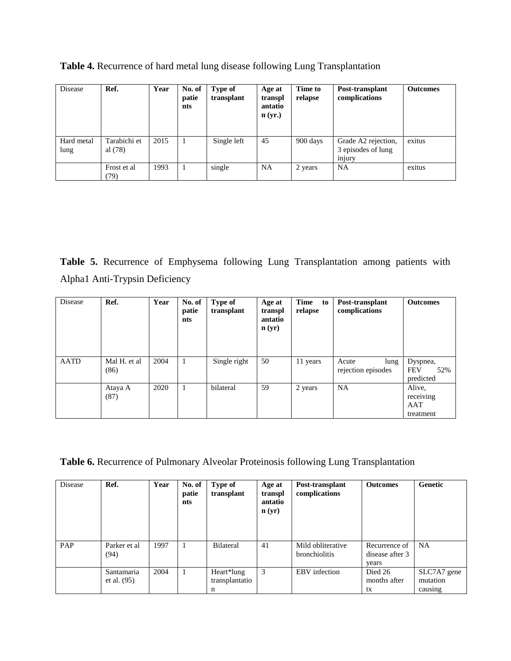| Disease            | Ref.                      | Year | No. of<br>patie<br>nts | Type of<br>transplant | Age at<br>transpl<br>antatio<br>$\mathbf{n}$ (yr.) | Time to<br>relapse | Post-transplant<br>complications                    | <b>Outcomes</b> |
|--------------------|---------------------------|------|------------------------|-----------------------|----------------------------------------------------|--------------------|-----------------------------------------------------|-----------------|
| Hard metal<br>lung | Tarabichi et<br>al $(78)$ | 2015 |                        | Single left           | 45                                                 | 900 days           | Grade A2 rejection,<br>3 episodes of lung<br>injury | exitus          |
|                    | Frost et al<br>(79)       | 1993 |                        | single                | <b>NA</b>                                          | 2 years            | NA.                                                 | exitus          |

**Table 4.** Recurrence of hard metal lung disease following Lung Transplantation

**Table 5.** Recurrence of Emphysema following Lung Transplantation among patients with Alpha1 Anti-Trypsin Deficiency

| Disease     | Ref.                 | Year | No. of<br>patie<br>nts | Type of<br>transplant | Age at<br>transpl<br>antatio<br>$\mathbf{n}(\mathbf{yr})$ | Time<br>to<br>relapse | Post-transplant<br>complications    | <b>Outcomes</b>                            |
|-------------|----------------------|------|------------------------|-----------------------|-----------------------------------------------------------|-----------------------|-------------------------------------|--------------------------------------------|
| <b>AATD</b> | Mal H. et al<br>(86) | 2004 | 1                      | Single right          | 50                                                        | 11 years              | lung<br>Acute<br>rejection episodes | Dyspnea,<br><b>FEV</b><br>52%<br>predicted |
|             | Ataya A<br>(87)      | 2020 | -1                     | bilateral             | 59                                                        | 2 years               | <b>NA</b>                           | Alive,<br>receiving<br>AAT<br>treatment    |

**Table 6.** Recurrence of Pulmonary Alveolar Proteinosis following Lung Transplantation

| Disease | Ref.                        | Year | No. of<br>patie<br>nts | Type of<br>transplant             | Age at<br>transpl<br>antatio<br>$\mathbf{n}(\mathbf{y}\mathbf{r})$ | Post-transplant<br>complications   | <b>Outcomes</b>                           | Genetic                            |
|---------|-----------------------------|------|------------------------|-----------------------------------|--------------------------------------------------------------------|------------------------------------|-------------------------------------------|------------------------------------|
| PAP     | Parker et al<br>(94)        | 1997 |                        | Bilateral                         | 41                                                                 | Mild obliterative<br>bronchiolitis | Recurrence of<br>disease after 3<br>years | <b>NA</b>                          |
|         | Santamaria<br>et al. $(95)$ | 2004 |                        | Heart*lung<br>transplantatio<br>n | 3                                                                  | EBV infection                      | Died 26<br>months after<br>tx             | SLC7A7 gene<br>mutation<br>causing |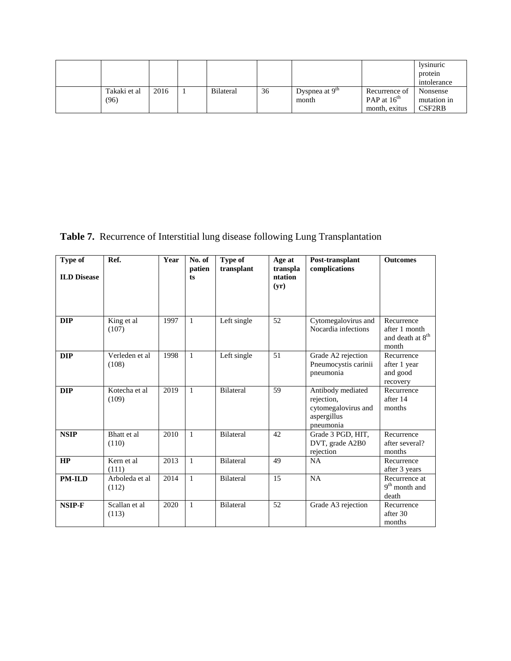|  |              |      |                  |    |                  |                  | lysinuric<br>protein<br>intolerance |
|--|--------------|------|------------------|----|------------------|------------------|-------------------------------------|
|  | Takaki et al | 2016 | <b>Bilateral</b> | 36 | Dyspnea at $9th$ | Recurrence of    | Nonsense                            |
|  | (96)         |      |                  |    | month            | PAP at $16^{th}$ | mutation in                         |
|  |              |      |                  |    |                  | month, exitus    | CSF2RB                              |

**Table 7.** Recurrence of Interstitial lung disease following Lung Transplantation

| Type of<br><b>ILD</b> Disease | Ref.                    | Year | No. of<br>patien<br>ts | Type of<br>transplant | Age at<br>transpla<br>ntation<br>(yr) | Post-transplant<br>complications                                                   | <b>Outcomes</b>                                                      |
|-------------------------------|-------------------------|------|------------------------|-----------------------|---------------------------------------|------------------------------------------------------------------------------------|----------------------------------------------------------------------|
| <b>DIP</b>                    | King et al<br>(107)     | 1997 | 1                      | Left single           | 52                                    | Cytomegalovirus and<br>Nocardia infections                                         | Recurrence<br>after 1 month<br>and death at 8 <sup>th</sup><br>month |
| <b>DIP</b>                    | Verleden et al<br>(108) | 1998 | $\mathbf{1}$           | Left single           | 51                                    | Grade A2 rejection<br>Pneumocystis carinii<br>pneumonia                            | Recurrence<br>after 1 year<br>and good<br>recovery                   |
| <b>DIP</b>                    | Kotecha et al<br>(109)  | 2019 | 1                      | <b>Bilateral</b>      | 59                                    | Antibody mediated<br>rejection,<br>cytomegalovirus and<br>aspergillus<br>pneumonia | Recurrence<br>after 14<br>months                                     |
| <b>NSIP</b>                   | Bhatt et al<br>(110)    | 2010 | $\mathbf{1}$           | <b>Bilateral</b>      | 42                                    | Grade 3 PGD, HIT,<br>DVT, grade A2B0<br>rejection                                  | Recurrence<br>after several?<br>months                               |
| HP                            | Kern et al<br>(111)     | 2013 | $\mathbf{1}$           | <b>Bilateral</b>      | 49                                    | <b>NA</b>                                                                          | Recurrence<br>after 3 years                                          |
| <b>PM-ILD</b>                 | Arboleda et al<br>(112) | 2014 | $\mathbf{1}$           | <b>Bilateral</b>      | 15                                    | <b>NA</b>                                                                          | Recurrence at<br>$9^{\rm th}$ month and<br>death                     |
| NSIP-F                        | Scallan et al<br>(113)  | 2020 | $\mathbf{1}$           | <b>Bilateral</b>      | 52                                    | Grade A3 rejection                                                                 | Recurrence<br>after 30<br>months                                     |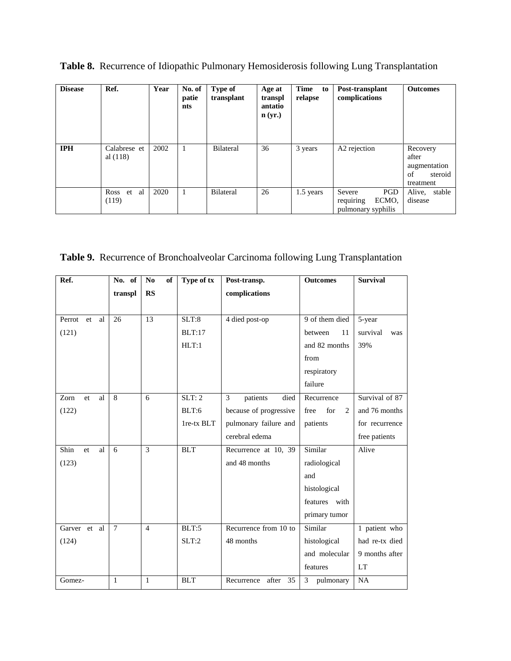| <b>Disease</b> | Ref.                       | Year | No. of<br>patie<br>nts | <b>Type of</b><br>transplant | Age at<br>transpl<br>antatio<br>n(yr.) | Time<br>to<br>relapse | Post-transplant<br>complications                          | <b>Outcomes</b>                                                 |
|----------------|----------------------------|------|------------------------|------------------------------|----------------------------------------|-----------------------|-----------------------------------------------------------|-----------------------------------------------------------------|
| <b>IPH</b>     | Calabrese et<br>al $(118)$ | 2002 | -1                     | <b>Bilateral</b>             | 36                                     | 3 years               | A2 rejection                                              | Recovery<br>after<br>augmentation<br>of<br>steroid<br>treatment |
|                | al<br>Ross<br>et<br>(119)  | 2020 |                        | <b>Bilateral</b>             | 26                                     | 1.5 years             | PGD<br>Severe<br>requiring<br>ECMO.<br>pulmonary syphilis | Alive, stable<br>disease                                        |

**Table 8.** Recurrence of Idiopathic Pulmonary Hemosiderosis following Lung Transplantation

**Table 9.** Recurrence of Bronchoalveolar Carcinoma following Lung Transplantation

| Ref.               | No. of       | No<br>of       | Type of tx    | Post-transp.              | <b>Outcomes</b>  | <b>Survival</b> |
|--------------------|--------------|----------------|---------------|---------------------------|------------------|-----------------|
|                    | transpl      | <b>RS</b>      |               | complications             |                  |                 |
|                    |              |                |               |                           |                  |                 |
| Perrot<br>et<br>al | 26           | 13             | SLT:8         | 4 died post-op            | 9 of them died   | 5-year          |
| (121)              |              |                | <b>BLT:17</b> |                           | between<br>11    | survival<br>was |
|                    |              |                | HLT:1         |                           | and 82 months    | 39%             |
|                    |              |                |               |                           | from             |                 |
|                    |              |                |               |                           | respiratory      |                 |
|                    |              |                |               |                           | failure          |                 |
| Zorn<br>al<br>et.  | 8            | 6              | SLT: 2        | 3<br>died<br>patients     | Recurrence       | Survival of 87  |
| (122)              |              |                | BLT:6         | because of progressive    | free<br>for<br>2 | and 76 months   |
|                    |              |                | lre-tx BLT    | pulmonary failure and     | patients         | for recurrence  |
|                    |              |                |               | cerebral edema            |                  | free patients   |
| Shin<br>al<br>et   | 6            | 3              | <b>BLT</b>    | Recurrence at 10, 39      | Similar          | Alive           |
| (123)              |              |                |               | and 48 months             | radiological     |                 |
|                    |              |                |               |                           | and              |                 |
|                    |              |                |               |                           | histological     |                 |
|                    |              |                |               |                           | features with    |                 |
|                    |              |                |               |                           | primary tumor    |                 |
| Garver et al       | $\tau$       | $\overline{4}$ | BLT:5         | Recurrence from 10 to     | Similar          | 1 patient who   |
| (124)              |              |                | SLT:2         | 48 months                 | histological     | had re-tx died  |
|                    |              |                |               |                           | and molecular    | 9 months after  |
|                    |              |                |               |                           | features         | LT              |
| Gomez-             | $\mathbf{1}$ | $\mathbf{1}$   | <b>BLT</b>    | 35<br>after<br>Recurrence | 3<br>pulmonary   | NA              |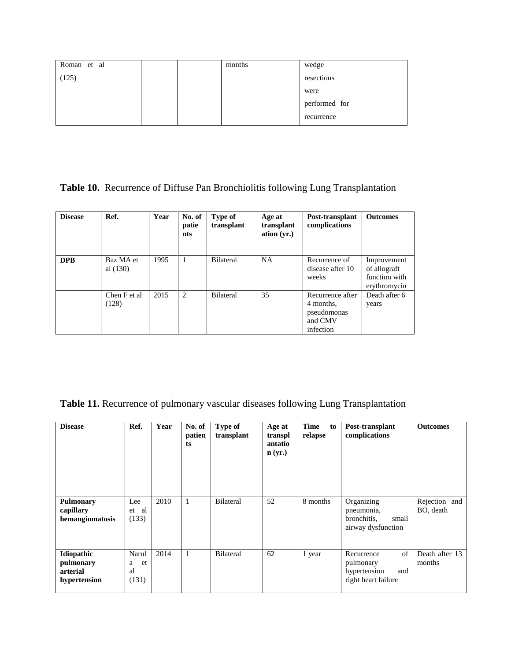| Roman et<br>al |  | months | wedge         |  |
|----------------|--|--------|---------------|--|
| 125            |  |        | resections    |  |
|                |  |        | were          |  |
|                |  |        | performed for |  |
|                |  |        | recurrence    |  |

## **Table 10.** Recurrence of Diffuse Pan Bronchiolitis following Lung Transplantation

| <b>Disease</b> | Ref.                    | Year | No. of<br>patie<br>nts | Type of<br>transplant | Age at<br>transplant<br>ation $(yr.)$ | Post-transplant<br>complications                                     | <b>Outcomes</b>                                              |
|----------------|-------------------------|------|------------------------|-----------------------|---------------------------------------|----------------------------------------------------------------------|--------------------------------------------------------------|
| <b>DPB</b>     | Baz MA et<br>al $(130)$ | 1995 |                        | <b>Bilateral</b>      | <b>NA</b>                             | Recurrence of<br>disease after 10<br>weeks                           | Improvement<br>of allograft<br>function with<br>erythromycin |
|                | Chen F et al<br>(128)   | 2015 | 2                      | <b>Bilateral</b>      | 35                                    | Recurrence after<br>4 months,<br>pseudomonas<br>and CMV<br>infection | Death after 6<br>years                                       |

**Table 11.** Recurrence of pulmonary vascular diseases following Lung Transplantation

| <b>Disease</b>                                      | Ref.                            | Year | No. of<br>patien<br>ts | <b>Type of</b><br>transplant | Age at<br>transpl<br>antatio<br>$\mathbf{n}$ (yr.) | <b>Time</b><br>to<br>relapse | Post-transplant<br>complications                                            | <b>Outcomes</b>            |
|-----------------------------------------------------|---------------------------------|------|------------------------|------------------------------|----------------------------------------------------|------------------------------|-----------------------------------------------------------------------------|----------------------------|
| <b>Pulmonary</b><br>capillary<br>hemangiomatosis    | Lee<br>et al<br>(133)           | 2010 | $\mathbf{1}$           | <b>Bilateral</b>             | 52                                                 | 8 months                     | Organizing<br>pneumonia,<br>bronchitis,<br>small<br>airway dysfunction      | Rejection and<br>BO, death |
| Idiopathic<br>pulmonary<br>arterial<br>hypertension | Narul<br>et<br>a<br>al<br>(131) | 2014 | $\mathbf{1}$           | <b>Bilateral</b>             | 62                                                 | 1 year                       | of<br>Recurrence<br>pulmonary<br>hypertension<br>and<br>right heart failure | Death after 13<br>months   |